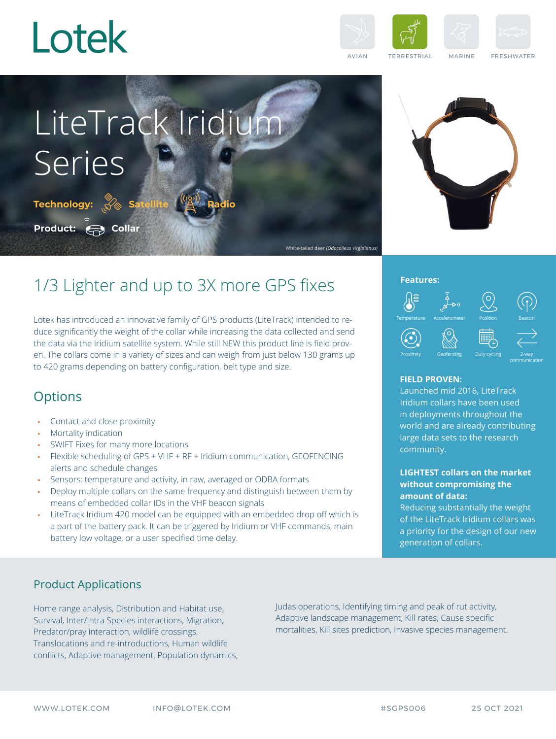

**Product: Collar**

**Technology:**

Series







White-tailed deer *(Odocoileus virginianus)*

AVIAN TERRESTRIAL MARINE FRESHWATER



# 1/3 Lighter and up to 3X more GPS fixes

**Satellite Radio**

LiteTrack Iridium

Lotek has introduced an innovative family of GPS products (LiteTrack) intended to reduce significantly the weight of the collar while increasing the data collected and send the data via the Iridium satellite system. While still NEW this product line is field proven. The collars come in a variety of sizes and can weigh from just below 130 grams up to 420 grams depending on battery configuration, belt type and size.

## **Options**

- Contact and close proximity
- Mortality indication
- SWIFT Fixes for many more locations
- Flexible scheduling of GPS + VHF + RF + Iridium communication, GEOFENCING alerts and schedule changes
- Sensors: temperature and activity, in raw, averaged or ODBA formats
- Deploy multiple collars on the same frequency and distinguish between them by means of embedded collar IDs in the VHF beacon signals
- LiteTrack Iridium 420 model can be equipped with an embedded drop off which is a part of the battery pack. It can be triggered by Iridium or VHF commands, main battery low voltage, or a user specified time delay.

### **Features:**



#### **FIELD PROVEN:**

Launched mid 2016, LiteTrack Iridium collars have been used in deployments throughout the world and are already contributing large data sets to the research community.

#### **LIGHTEST collars on the market without compromising the amount of data:**

Reducing substantially the weight of the LiteTrack Iridium collars was a priority for the design of our new generation of collars.

## Product Applications

Home range analysis, Distribution and Habitat use, Survival, Inter/Intra Species interactions, Migration, Predator/pray interaction, wildlife crossings, Translocations and re-introductions, Human wildlife conflicts, Adaptive management, Population dynamics, Judas operations, Identifying timing and peak of rut activity, Adaptive landscape management, Kill rates, Cause specific mortalities, Kill sites prediction, Invasive species management.